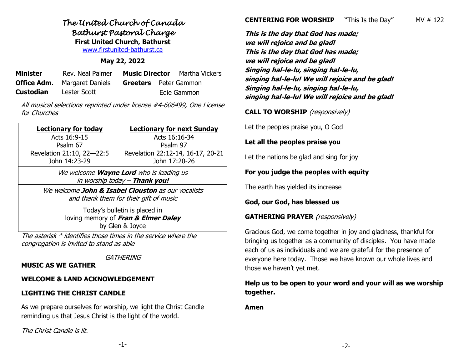## *The United Church of Canada Bathurst Pastoral Charge*  **First United Church, Bathurst**

[www.firstunited-bathurst.ca](http://www.firstunited-bathurst.ca/)

### **May 22, 2022**

| <b>Minister</b>  | Rev. Neal Palmer                    |                              | <b>Music Director</b> Martha Vickers |
|------------------|-------------------------------------|------------------------------|--------------------------------------|
|                  | <b>Office Adm.</b> Margaret Daniels | <b>Greeters</b> Peter Gammon |                                      |
| <b>Custodian</b> | Lester Scott                        |                              | Edie Gammon                          |

All musical selections reprinted under license #4-606499, One License for Churches

| <b>Lectionary for today</b>                                                                      | <b>Lectionary for next Sunday</b> |  |  |  |
|--------------------------------------------------------------------------------------------------|-----------------------------------|--|--|--|
|                                                                                                  |                                   |  |  |  |
| Acts 16:9-15                                                                                     | Acts 16:16-34                     |  |  |  |
| Psalm 67                                                                                         | Psalm 97                          |  |  |  |
| Revelation 21:10, 22-22:5                                                                        | Revelation 22:12-14, 16-17, 20-21 |  |  |  |
| John 14:23-29                                                                                    | John 17:20-26                     |  |  |  |
| We welcome <b>Wayne Lord</b> who is leading us<br>in worship today - Thank you!                  |                                   |  |  |  |
| We welcome John & Isabel Clouston as our vocalists<br>and the other than Could be the Council of |                                   |  |  |  |

and thank them for their gift of music Today's bulletin is placed in

loving memory of **Fran & Elmer Daley** by Glen & Joyce

The asterisk \* identifies those times in the service where the congregation is invited to stand as able

**GATHERING** 

#### **MUSIC AS WE GATHER**

#### **WELCOME & LAND ACKNOWLEDGEMENT**

## **LIGHTING THE CHRIST CANDLE**

As we prepare ourselves for worship, we light the Christ Candle reminding us that Jesus Christ is the light of the world.

The Christ Candle is lit.

**CENTERING FOR WORSHIP** "This Is the Day" MV # 122

**This is the day that God has made; we will rejoice and be glad! This is the day that God has made; we will rejoice and be glad! Singing hal-le-lu, singing hal-le-lu, singing hal-le-lu! We will rejoice and be glad! Singing hal-le-lu, singing hal-le-lu, singing hal-le-lu! We will rejoice and be glad!**

**CALL TO WORSHIP** (responsively)

Let the peoples praise you, O God

#### **Let all the peoples praise you**

Let the nations be glad and sing for joy

### **For you judge the peoples with equity**

The earth has yielded its increase

**God, our God, has blessed us**

#### **GATHERING PRAYER** (responsively)

Gracious God, we come together in joy and gladness, thankful for bringing us together as a community of disciples. You have made each of us as individuals and we are grateful for the presence of everyone here today. Those we have known our whole lives and those we haven't yet met.

## **Help us to be open to your word and your will as we worship together.**

**Amen**

-1-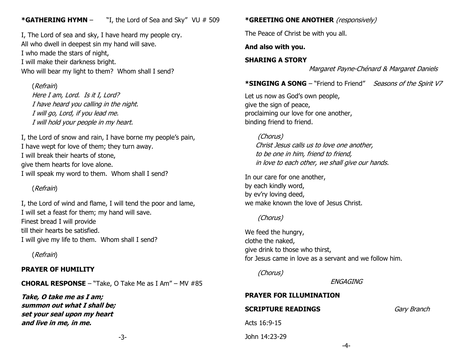## **\*GATHERING HYMN** – "I, the Lord of Sea and Sky" VU # 509

I, The Lord of sea and sky, I have heard my people cry. All who dwell in deepest sin my hand will save. I who made the stars of night, I will make their darkness bright. Who will bear my light to them? Whom shall I send?

#### (Refrain)

Here I am, Lord. Is it I, Lord? I have heard you calling in the night. I will go, Lord, if you lead me. I will hold your people in my heart.

I, the Lord of snow and rain, I have borne my people's pain, I have wept for love of them; they turn away. I will break their hearts of stone, give them hearts for love alone. I will speak my word to them. Whom shall I send?

## (Refrain)

I, the Lord of wind and flame, I will tend the poor and lame, I will set a feast for them; my hand will save. Finest bread I will provide till their hearts be satisfied. I will give my life to them. Whom shall I send?

(Refrain)

#### **PRAYER OF HUMILITY**

**CHORAL RESPONSE** – "Take, O Take Me as I Am" – MV #85

**Take, O take me as I am; summon out what I shall be; set your seal upon my heart and live in me, in me.**

-3-

#### **\*GREETING ONE ANOTHER** (responsively)

The Peace of Christ be with you all.

**And also with you.**

#### **SHARING A STORY**

Margaret Payne-Chénard & Margaret Daniels

**\*SINGING A SONG** – "Friend to Friend" Seasons of the Spirit V7

Let us now as God's own people, give the sign of peace, proclaiming our love for one another, binding friend to friend.

(Chorus) Christ Jesus calls us to love one another, to be one in him, friend to friend, in love to each other, we shall give our hands.

In our care for one another, by each kindly word, by ev'ry loving deed, we make known the love of Jesus Christ.

#### (Chorus)

We feed the hungry, clothe the naked, give drink to those who thirst, for Jesus came in love as a servant and we follow him.

(Chorus)

ENGAGING

#### **PRAYER FOR ILLUMINATION**

#### **SCRIPTURE READINGS** Gary Branch

Acts 16:9-15

John 14:23-29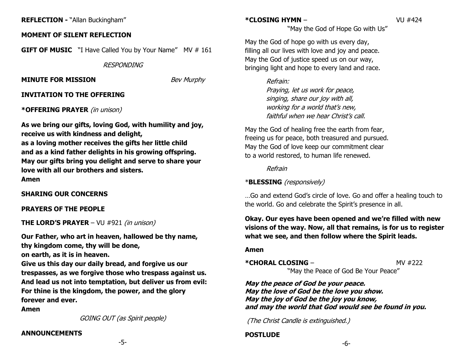## **MOMENT OF SILENT REFLECTION**

**GIFT OF MUSIC** "I Have Called You by Your Name" MV # 161

**RESPONDING** 

## **MINUTE FOR MISSION** Bev Murphy

## **INVITATION TO THE OFFERING**

## **\*OFFERING PRAYER** (in unison)

**As we bring our gifts, loving God, with humility and joy, receive us with kindness and delight, as a loving mother receives the gifts her little child and as a kind father delights in his growing offspring. May our gifts bring you delight and serve to share your love with all our brothers and sisters. Amen**

## **SHARING OUR CONCERNS**

## **PRAYERS OF THE PEOPLE**

**THE LORD'S PRAYER** – VU #921 (in unison)

**Our Father, who art in heaven, hallowed be thy name, thy kingdom come, thy will be done, on earth, as it is in heaven.** 

**Give us this day our daily bread, and forgive us our trespasses, as we forgive those who trespass against us. And lead us not into temptation, but deliver us from evil: For thine is the kingdom, the power, and the glory forever and ever.**

**Amen**

GOING OUT (as Spirit people)

-5-

## **ANNOUNCEMENTS**

**\*CLOSING HYMN** – VU #424

"May the God of Hope Go with Us"

May the God of hope go with us every day, filling all our lives with love and joy and peace. May the God of justice speed us on our way, bringing light and hope to every land and race.

> Refrain: Praying, let us work for peace, singing, share our joy with all, working for a world that's new, faithful when we hear Christ's call.

May the God of healing free the earth from fear, freeing us for peace, both treasured and pursued. May the God of love keep our commitment clear to a world restored, to human life renewed.

Refrain

## \***BLESSING** (responsively)

…Go and extend God's circle of love. Go and offer a healing touch to the world. Go and celebrate the Spirit's presence in all.

**Okay. Our eyes have been opened and we're filled with new visions of the way. Now, all that remains, is for us to register what we see, and then follow where the Spirit leads.**

## **Amen**

**\*CHORAL CLOSING – MV #222** "May the Peace of God Be Your Peace"

**May the peace of God be your peace. May the love of God be the love you show. May the joy of God be the joy you know, and may the world that God would see be found in you.**

(The Christ Candle is extinguished.)

## **POSTLUDE**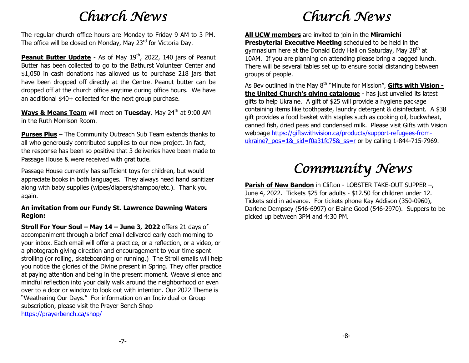## *Church News*

The regular church office hours are Monday to Friday 9 AM to 3 PM. The office will be closed on Monday, May 23<sup>rd</sup> for Victoria Day.

**Peanut Butter Update** - As of May 19<sup>th</sup>, 2022, 140 jars of Peanut Butter has been collected to go to the Bathurst Volunteer Center and \$1,050 in cash donations has allowed us to purchase 218 jars that have been dropped off directly at the Centre. Peanut butter can be dropped off at the church office anytime during office hours. We have an additional \$40+ collected for the next group purchase.

**Ways & Means Team** will meet on Tuesday, May 24<sup>th</sup> at 9:00 AM in the Ruth Morrison Room.

**Purses Plus** – The Community Outreach Sub Team extends thanks to all who generously contributed supplies to our new project. In fact, the response has been so positive that 3 deliveries have been made to Passage House & were received with gratitude.

Passage House currently has sufficient toys for children, but would appreciate books in both languages. They always need hand sanitizer along with baby supplies (wipes/diapers/shampoo/etc.). Thank you again.

### **An invitation from our Fundy St. Lawrence Dawning Waters Region:**

**Stroll For Your Soul – May 14 – June 3, 2022** offers 21 days of accompaniment through a brief email delivered early each morning to your inbox. Each email will offer a practice, or a reflection, or a video, or a photograph giving direction and encouragement to your time spent strolling (or rolling, skateboarding or running.) The Stroll emails will help you notice the glories of the Divine present in Spring. They offer practice at paying attention and being in the present moment. Weave silence and mindful reflection into your daily walk around the neighborhood or even over to a door or window to look out with intention. Our 2022 Theme is "Weathering Our Days." For information on an Individual or Group subscription, please visit the Prayer Bench Shop <https://prayerbench.ca/shop/>

# *Church News*

**All UCW members** are invited to join in the **Miramichi Presbyterial Executive Meeting** scheduled to be held in the gymnasium here at the Donald Eddy Hall on Saturday, May  $28<sup>th</sup>$  at 10AM. If you are planning on attending please bring a bagged lunch. There will be several tables set up to ensure social distancing between groups of people.

As Bev outlined in the May 8<sup>th</sup> "Minute for Mission", Gifts with Vision **the United Church's giving catalogue** - has just unveiled its latest gifts to help Ukraine. A gift of \$25 will provide a hygiene package containing items like toothpaste, laundry detergent & disinfectant. A \$38 gift provides a food basket with staples such as cooking oil, buckwheat, canned fish, dried peas and condensed milk. Please visit Gifts with Vision webpage [https://giftswithvision.ca/products/support-refugees-from](https://giftswithvision.ca/products/support-refugees-from-ukraine?_pos=1&_sid=f0a31fc75&_ss=r)ukraine?  $pos=1&$  sid=f0a31fc75 $&$  ss=r or by calling 1-844-715-7969.

# *Community News*

**Parish of New Bandon** in Clifton - LOBSTER TAKE-OUT SUPPER –, June 4, 2022. Tickets \$25 for adults - \$12.50 for children under 12. Tickets sold in advance. For tickets phone Kay Addison (350-0960), Darlene Dempsey (546-6997) or Elaine Good (546-2970). Suppers to be picked up between 3PM and 4:30 PM.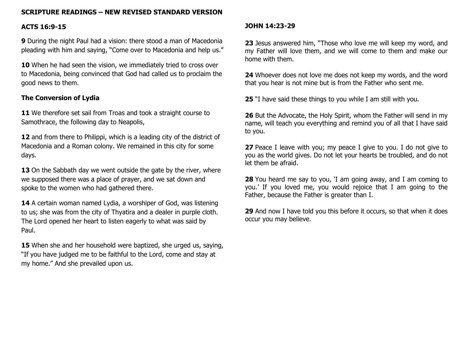## **SCRIPTURE READINGS – NEW REVISED STANDARD VERSION**

### **ACTS 16:9-15**

**9** During the night Paul had a vision: there stood a man of Macedonia pleading with him and saying, "Come over to Macedonia and help us."

10 When he had seen the vision, we immediately tried to cross over to Macedonia, being convinced that God had called us to proclaim the good news to them.

## **The Conversion of Lydia**

11 We therefore set sail from Troas and took a straight course to Samothrace, the following day to Neapolis,

**12** and from there to Philippi, which is a leading city of the district of Macedonia and a Roman colony. We remained in this city for some days.

**13** On the Sabbath day we went outside the gate by the river, where we supposed there was a place of prayer, and we sat down and spoke to the women who had gathered there.

**14** A certain woman named Lydia, a worshiper of God, was listening to us; she was from the city of Thyatira and a dealer in purple cloth. The Lord opened her heart to listen eagerly to what was said by Paul.

**15** When she and her household were baptized, she urged us, saying, "If you have judged me to be faithful to the Lord, come and stay at my home." And she prevailed upon us.

#### **JOHN 14:23-29**

**23** Jesus answered him, "Those who love me will keep my word, and my Father will love them, and we will come to them and make our home with them.

**24** Whoever does not love me does not keep my words, and the word that you hear is not mine but is from the Father who sent me.

**25** "I have said these things to you while I am still with you.

**26** But the Advocate, the Holy Spirit, whom the Father will send in my name, will teach you everything and remind you of all that I have said to you.

**27** Peace I leave with you; my peace I give to you. I do not give to you as the world gives. Do not let your hearts be troubled, and do not let them be afraid.

**28** You heard me say to you, 'I am going away, and I am coming to you.' If you loved me, you would rejoice that I am going to the Father, because the Father is greater than I.

**29** And now I have told you this before it occurs, so that when it does occur you may believe.